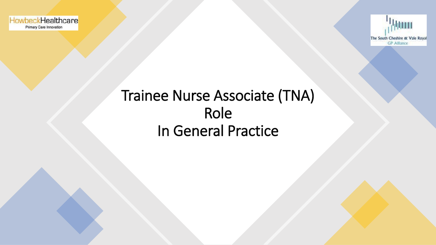



## Trainee Nurse Associate (TNA) Role In General Practice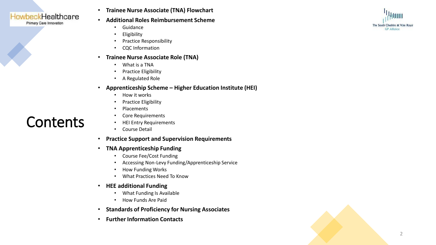

Primary Care Innovation

**Contents** 

#### • **Trainee Nurse Associate (TNA) Flowchart**

- **Additional Roles Reimbursement Scheme**
	- Guidance
	- Eligibility
	- Practice Responsibility
	- CQC Information

### • **Trainee Nurse Associate Role (TNA)**

- What is a TNA
- Practice Eligibility
- A Regulated Role

### • **Apprenticeship Scheme – Higher Education Institute (HEI)**

- How it works
- Practice Eligibility
- Placements
- Core Requirements
- HEI Entry Requirements
- Course Detail
- **Practice Support and Supervision Requirements**
- **TNA Apprenticeship Funding**
	- Course Fee/Cost Funding
	- Accessing Non-Levy Funding/Apprenticeship Service
	- How Funding Works
	- What Practices Need To Know
- **HEE additional Funding** 
	- What Funding Is Available
	- How Funds Are Paid
- **Standards of Proficiency for Nursing Associates**
- **Further Information Contacts**



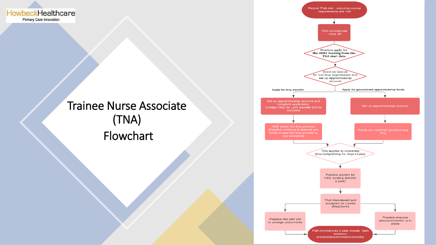HowbeckHealthcare Primary Care Innovation

## Trainee Nurse Associate (TNA) Flowchart

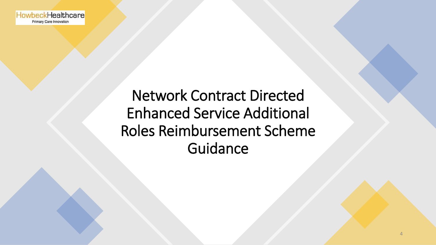## Network Contract Directed Enhanced Service Additional Roles Reimbursement Scheme **Guidance**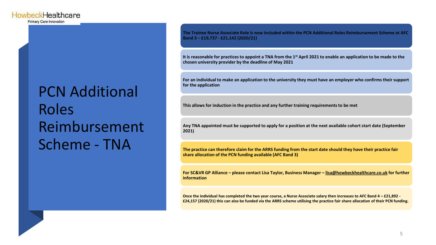Primary Care Innovation

## PCN Additional Roles Reimbursement Scheme - TNA

**The Trainee Nurse Associate Role is now included within the PCN Additional Roles Reimbursement Scheme at AFC Band 3 – £19,737 - £21,142 (2020/21)**

**It is reasonable for practices to appoint a TNA from the 1st April 2021 to enable an application to be made to the chosen university provider by the deadline of May 2021**

**For an individual to make an application to the university they must have an employer who confirms their support for the application**

**This allows for induction in the practice and any further training requirements to be met**

**Any TNA appointed must be supported to apply for a position at the next available cohort start date (September 2021)**

**The practice can therefore claim for the ARRS funding from the start date should they have their practice fair share allocation of the PCN funding available (AFC Band 3)**

**For SC&VR GP Alliance – please contact Lisa Taylor, Business Manager – [lisa@howbeckhealthcare.co.uk](mailto:lisa@howbeckhealthcare.co.uk) for further information**

**Once the individual has completed the two year course, a Nurse Associate salary then increases to AFC Band 4 – £21,892 - £24,157 (2020/21) this can also be funded via the ARRS scheme utilising the practice fair share allocation of their PCN funding.**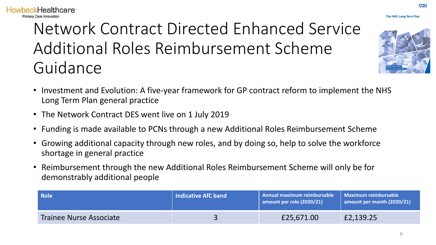## Network Contract Directed Enhanced Service Additional Roles Reimbursement Scheme Guidance

- Investment and Evolution: A five-year framework for GP contract reform to implement the NHS Long Term Plan general practice
- The Network Contract DES went live on 1 July 2019

**HowbeckHealthcare** Primary Care Innovation

- Funding is made available to PCNs through a new Additional Roles Reimbursement Scheme
- Growing additional capacity through new roles, and by doing so, help to solve the workforce shortage in general practice
- Reimbursement through the new Additional Roles Reimbursement Scheme will only be for demonstrably additional people

| <b>Role</b>                    | <b>Indicative AfC band</b> | Annual maximum reimbursable<br>amount per role (2020/21) | Maximum reimbursable<br>amount per month (2020/21) |
|--------------------------------|----------------------------|----------------------------------------------------------|----------------------------------------------------|
| <b>Trainee Nurse Associate</b> |                            | £25,671.00                                               | £2,139.25                                          |



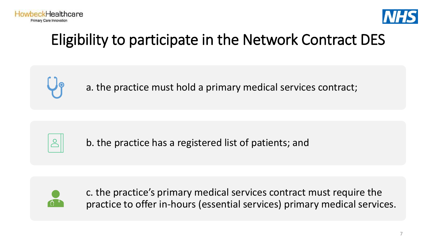



## Eligibility to participate in the Network Contract DES



a. the practice must hold a primary medical services contract;



b. the practice has a registered list of patients; and



c. the practice's primary medical services contract must require the practice to offer in-hours (essential services) primary medical services.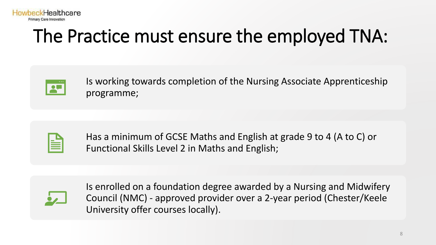

# The Practice must ensure the employed TNA:



Is working towards completion of the Nursing Associate Apprenticeship programme;

Has a minimum of GCSE Maths and English at grade 9 to 4 (A to C) or Functional Skills Level 2 in Maths and English;



Is enrolled on a foundation degree awarded by a Nursing and Midwifery Council (NMC) - approved provider over a 2-year period (Chester/Keele University offer courses locally).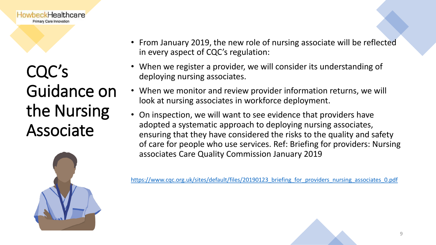

CQC's Guidance on the Nursing Associate



- From January 2019, the new role of nursing associate will be reflected in every aspect of CQC's regulation:
- When we register a provider, we will consider its understanding of deploying nursing associates.
- When we monitor and review provider information returns, we will look at nursing associates in workforce deployment.
- On inspection, we will want to see evidence that providers have adopted a systematic approach to deploying nursing associates, ensuring that they have considered the risks to the quality and safety of care for people who use services. Ref: Briefing for providers: Nursing associates Care Quality Commission January 2019

https://www.cqc.org.uk/sites/default/files/20190123 briefing for providers nursing associates 0.pdf

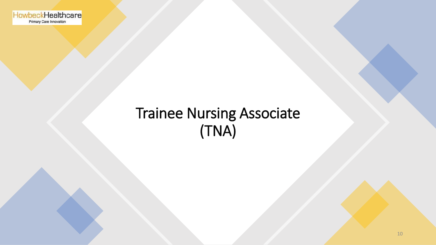HowbeckHealthcare Primary Care Innovation

## Trainee Nursing Associate (TNA)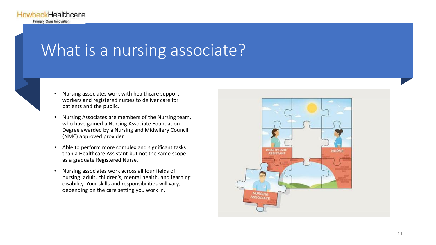

## What is a nursing associate?



- Nursing associates work with healthcare support workers and registered nurses to deliver care for patients and the public.
- Nursing Associates are members of the Nursing team, who have gained a Nursing Associate Foundation Degree awarded by a Nursing and Midwifery Council (NMC) approved provider.
- Able to perform more complex and significant tasks than a Healthcare Assistant but not the same scope as a graduate Registered Nurse.
- Nursing associates work across all four fields of nursing: adult, children's, mental health, and learning disability. Your skills and responsibilities will vary, depending on the care setting you work in.

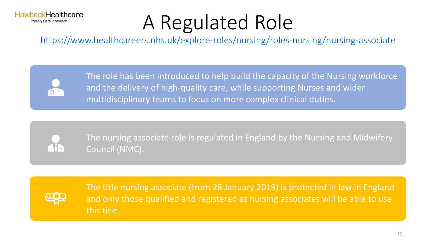### **InwheckHealthcare** Primary Care Innovation

# A Regulated Role

<https://www.healthcareers.nhs.uk/explore-roles/nursing/roles-nursing/nursing-associate>



The role has been introduced to help build the capacity of the Nursing workforce and the delivery of high-quality care, while supporting Nurses and wider multidisciplinary teams to focus on more complex clinical duties.



The nursing associate role is regulated in England by the Nursing and Midwifery Council (NMC).



The title nursing associate (from 28 January 2019) is protected in law in England and only those qualified and registered as nursing associates will be able to use this title.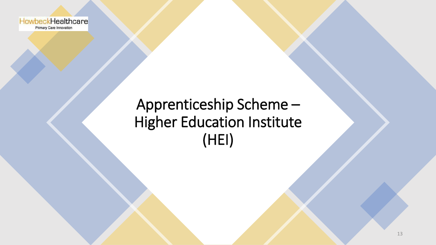

## Apprenticeship Scheme – Higher Education Institute (HEI)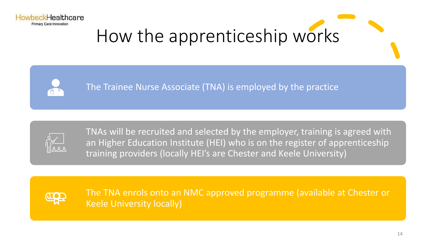





The Trainee Nurse Associate (TNA) is employed by the practice



TNAs will be recruited and selected by the employer, training is agreed with an Higher Education Institute (HEI) who is on the register of apprenticeship training providers (locally HEI's are Chester and Keele University)



The TNA enrols onto an NMC approved programme (available at Chester or Keele University locally)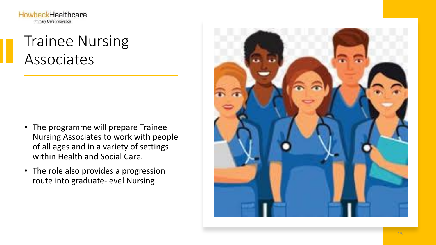**HowbeckHealthcare** Primary Care Innovation

## Trainee Nursing Associates

- The programme will prepare Trainee Nursing Associates to work with people of all ages and in a variety of settings within Health and Social Care.
- The role also provides a progression route into graduate-level Nursing.

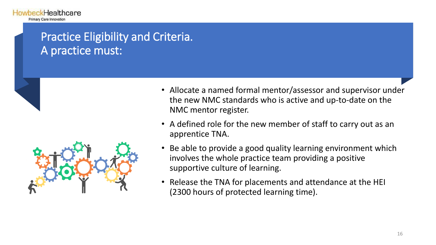## Practice Eligibility and Criteria. A practice must:



- Allocate a named formal mentor/assessor and supervisor under the new NMC standards who is active and up-to-date on the NMC mentor register.
- A defined role for the new member of staff to carry out as an apprentice TNA.
- Be able to provide a good quality learning environment which involves the whole practice team providing a positive supportive culture of learning.
- Release the TNA for placements and attendance at the HEI (2300 hours of protected learning time).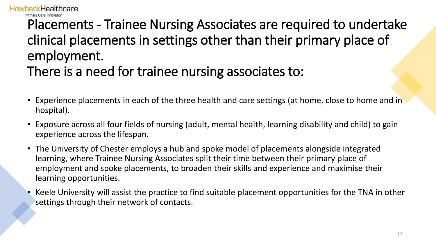# Placements - Trainee Nursing Associates are required to undertake clinical placements in settings other than their primary place of employment.

There is a need for trainee nursing associates to:

*h*eckHealthcare

- Experience placements in each of the three health and care settings (at home, close to home and in hospital).
- Exposure across all four fields of nursing (adult, mental health, learning disability and child) to gain experience across the lifespan.
- The University of Chester employs a hub and spoke model of placements alongside integrated learning, where Trainee Nursing Associates split their time between their primary place of employment and spoke placements, to broaden their skills and experience and maximise their learning opportunities.
- Keele University will assist the practice to find suitable placement opportunities for the TNA in other settings through their network of contacts.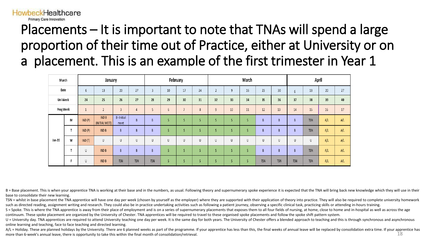## Primary Care Innovation Placements – It is important to note that TNAs will spend a large proportion of their time out of Practice, either at University or on a placement. This is an example of the first trimester in Year 1

wheckHealthcare

| Month     |   |        | January                |                   |                |            | February        |                |    |    |    | March |                |            | April               |            |     |     |
|-----------|---|--------|------------------------|-------------------|----------------|------------|-----------------|----------------|----|----|----|-------|----------------|------------|---------------------|------------|-----|-----|
| Date      |   | b      | 13                     | 20                | 27             | n          | 10              | 17             | 24 |    | 9  | 16    | 23             | 30         | 13<br>20<br>27<br>6 |            |     |     |
| Uni Week  |   | 24     | 25                     | 26                | 27             | 28         | 29              | 30             | 31 | 32 | 33 | 34    | 35             | 36         | 37                  | 38         | 39  | 40  |
| Prog Week |   |        | $\overline{c}$         | $\overline{3}$    | $\overline{4}$ |            | $6\overline{6}$ | $\blacksquare$ | 8  | 9  | 10 | 11    | 12             | 13         | 14                  | 15         | 16  | 17  |
| Jan-20    | M | IND(P) | INDB<br>(INITIAL MEET) | B-Initial<br>meet | B              | B          | S               | Ś              |    | S  |    |       | B              | B          | $\overline{B}$      | <b>TSN</b> | A/L | A/L |
|           |   | IND(P) | IND B                  | B                 | B              | B          | S               |                | D  | S  |    |       | B              | B          | $\overline{B}$      | <b>TSN</b> | A/L | A/L |
|           | W | IND(T) | U                      | U                 | U              | U          | U               | U              | U  | U  | U  | U     | U              | U          | U                   | U          | A/L | A/L |
|           |   | U      | IND B                  | B                 | B              | B          | S               | S              |    | S  |    |       | $\overline{B}$ | B          | $\overline{B}$      | <b>TSN</b> | A/L | A/L |
|           |   | U      | IND B                  | <b>TSN</b>        | <b>TSN</b>     | <b>TSN</b> |                 | S              |    | S  | S  |       | <b>TSN</b>     | <b>TSN</b> | <b>TSN</b>          | <b>TSN</b> | A/L | A/L |

B = Base placement. This is when your apprentice TNA is working at their base and in the numbers, as usual. Following theory and supernumerary spoke experience it is expected that the TNA will bring back new knowledge whic base to consolidate their new learning.

TSN = whilst in base placement the TNA apprentice will have one day per week (chosen by yourself as the employer) where they are supported with their application of theory into practice. They will also be required to compl such as directed reading, assignment writing and research. They could also be in practice undertaking activities such as following a patient journey, observing a specific clinical task, practicing skills or attending in-ho

S = Spoke. This is where the TNA apprentice is away from their place of employment and is on a series of supernumerary placements that exposes them to all four fields of nursing, at home, close to home and in-hospital as w continuum. These spoke placement are organized by the University of Chester. TNA apprentices will be required to travel to these organised spoke placements and follow the spoke shift pattern system.

U = University day. TNA apprentices are required to attend University teaching one day per week. It is the same day for both years. The University of Chester offers a blended approach to teaching and this is through synchr online learning and teaching, face to face teaching and directed learning.

A/L = Holiday. These are planned holidays by the University. There are 6 planned weeks as part of the programme. If your apprentice has less than this, the final weeks of annual leave will be replaced by consolidation extr more than 6-week's annual leave, there is opportunity to take this within the final month of consolidation/retrieval. 18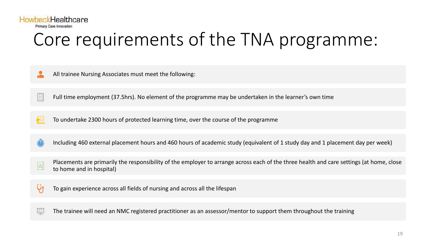

# Core requirements of the TNA programme:

- $\frac{1}{\sqrt{2}}$ All trainee Nursing Associates must meet the following:
- EI Full time employment (37.5hrs). No element of the programme may be undertaken in the learner's own time
- 祒 To undertake 2300 hours of protected learning time, over the course of the programme
- Including 460 external placement hours and 460 hours of academic study (equivalent of 1 study day and 1 placement day per week)
- Placements are primarily the responsibility of the employer to arrange across each of the three health and care settings (at home, close  $|s|$ to home and in hospital)
- $\bigcup_{\mathfrak{P}}$ To gain experience across all fields of nursing and across all the lifespan
- 医 The trainee will need an NMC registered practitioner as an assessor/mentor to support them throughout the training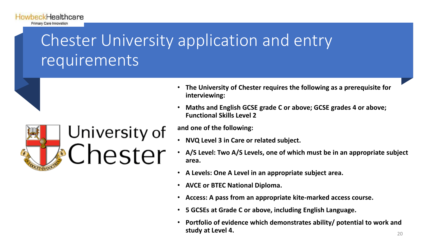# Chester University application and entry requirements



**HowbeckHealthcare** Primary Care Innovation

- **The University of Chester requires the following as a prerequisite for interviewing:**
- **Maths and English GCSE grade C or above; GCSE grades 4 or above; Functional Skills Level 2**

### **and one of the following:**

- **NVQ Level 3 in Care or related subject.**
- **A/S Level: Two A/S Levels, one of which must be in an appropriate subject area.**
- **A Levels: One A Level in an appropriate subject area.**
- **AVCE or BTEC National Diploma.**
- **Access: A pass from an appropriate kite-marked access course.**
- **5 GCSEs at Grade C or above, including English Language.**
- **Portfolio of evidence which demonstrates ability/ potential to work and study at Level 4.** 20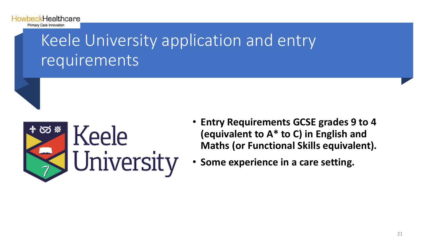

# Keele University application and entry requirements



- **Entry Requirements GCSE grades 9 to 4 (equivalent to A\* to C) in English and Maths (or Functional Skills equivalent).**
- **Some experience in a care setting.**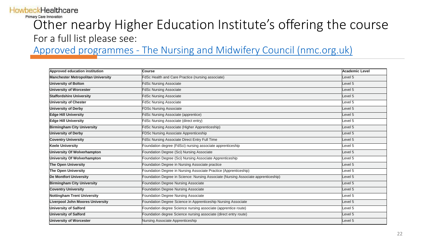## **HowbeckHealthcare**

Primary Care Innovation

## Other nearby Higher Education Institute's offering the course For a full list please see:

Approved programmes - [The Nursing and Midwifery Council \(nmc.org.uk\)](https://www.nmc.org.uk/education/approved-programmes/)

| Approved education institution            | <b>Course</b>                                                                      | <b>Academic Level</b> |
|-------------------------------------------|------------------------------------------------------------------------------------|-----------------------|
| <b>Manchester Metropolitan University</b> | FdSc Health and Care Practice (nursing associate)                                  | Level 5               |
| <b>University of Bolton</b>               | <b>FdSc Nursing Associate</b>                                                      | Level 5               |
| <b>University of Worcester</b>            | <b>FdSc Nursing Associate</b>                                                      | Level 5               |
| <b>Staffordshire University</b>           | <b>FdSc Nursing Associate</b>                                                      | Level 5               |
| <b>University of Chester</b>              | <b>FdSc Nursing Associate</b>                                                      | Level 5               |
| <b>University of Derby</b>                | <b>FDSc Nursing Associate</b>                                                      | Level 5               |
| <b>Edge Hill University</b>               | <b>FdSc Nursing Associate (apprentice)</b>                                         | Level 5               |
| <b>Edge Hill University</b>               | FdSc Nursing Associate (direct entry)                                              | Level 5               |
| <b>Birmingham City University</b>         | FdSc Nursing Associate (Higher Apprenticeship)                                     | Level 5               |
| <b>University of Derby</b>                | FDSc Nursing Associate Apprenticeship                                              | Level 5               |
| <b>Coventry University</b>                | FdSc Nursing Associate Direct Entry Full Time                                      | Level 5               |
| <b>Keele University</b>                   | Foundation degree (FdSci) nursing associate apprenticeship                         | Level 5               |
| University Of Wolverhampton               | Foundation Degree (Sci) Nursing Associate                                          | Level 5               |
| University Of Wolverhampton               | Foundation Degree (Sci) Nursing Associate Apprenticeship                           | Level 5               |
| The Open University                       | Foundation Degree in Nursing Associate practice                                    | Level 5               |
| The Open University                       | Foundation Degree in Nursing Associate Practice (Apprenticeship)                   | Level 5               |
| <b>De Montfort University</b>             | Foundation Degree in Science: Nursing Associate (Nursing Associate apprenticeship) | Level 5               |
| <b>Birmingham City University</b>         | Foundation Degree Nursing Associate                                                | Level 5               |
| <b>Coventry University</b>                | Foundation Degree Nursing Associate                                                | Level 5               |
| <b>Nottingham Trent University</b>        | Foundation Degree Nursing Associate                                                | Level 5               |
| <b>Liverpool John Moores University</b>   | Foundation Degree Science in Apprenticeship Nursing Associate                      | Level 5               |
| <b>University of Salford</b>              | Foundation degree Science nursing associate (apprentice route)                     | Level 5               |
| <b>University of Salford</b>              | Foundation degree Science nursing associate (direct entry route)                   | Level 5               |
| University of Worcester                   | Nursing Associate Apprenticeship                                                   | Level 5               |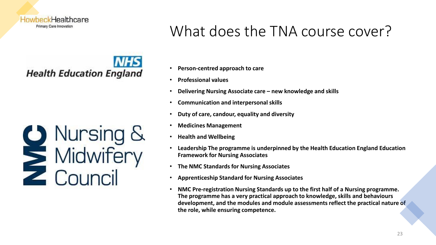

# **Health Education England**



## What does the TNA course cover?

- **Person-centred approach to care**
- **Professional values**
- **Delivering Nursing Associate care – new knowledge and skills**
- **Communication and interpersonal skills**
- **Duty of care, candour, equality and diversity**
- **Medicines Management**
- **Health and Wellbeing**
- **Leadership The programme is underpinned by the Health Education England Education Framework for Nursing Associates**
- **The NMC Standards for Nursing Associates**
- **Apprenticeship Standard for Nursing Associates**
- **NMC Pre-registration Nursing Standards up to the first half of a Nursing programme. The programme has a very practical approach to knowledge, skills and behaviours development, and the modules and module assessments reflect the practical nature of the role, while ensuring competence.**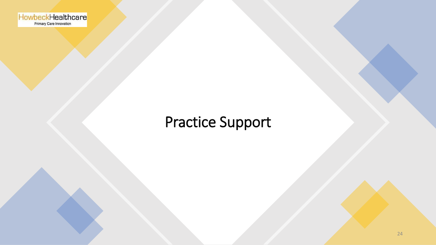HowbeckHealthcare

## Practice Support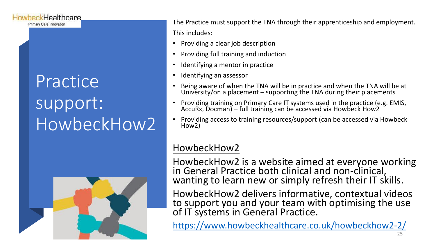## **HowbeckHealthcare**

Primary Care Innovation

# **Practice** support: HowbeckHow2



The Practice must support the TNA through their apprenticeship and employment. This includes:

- Providing a clear job description
- Providing full training and induction
- Identifying a mentor in practice
- Identifying an assessor
- Being aware of when the TNA will be in practice and when the TNA will be at University/on a placement – supporting the TNA during their placements
- Providing training on Primary Care IT systems used in the practice (e.g. EMIS, AccuRx, Docman) – full training can be accessed via Howbeck How2
- Providing access to training resources/support (can be accessed via Howbeck How2)

## HowbeckHow2

HowbeckHow2 is a website aimed at everyone working in General Practice both clinical and non-clinical, wanting to learn new or simply refresh their IT skills.

HowbeckHow2 delivers informative, contextual videos to support you and your team with optimising the use of IT systems in General Practice.

<https://www.howbeckhealthcare.co.uk/howbeckhow2-2/>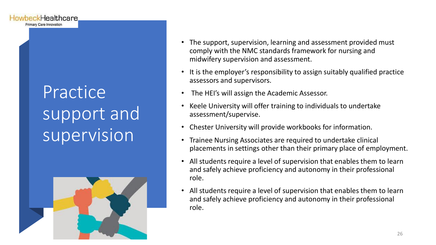# **Practice** support and supervision

Healthcare

Primary Care Innovation



- The support, supervision, learning and assessment provided must comply with the NMC standards framework for nursing and midwifery supervision and assessment.
- It is the employer's responsibility to assign suitably qualified practice assessors and supervisors.
- The HEI's will assign the Academic Assessor.
- Keele University will offer training to individuals to undertake assessment/supervise.
- Chester University will provide workbooks for information.
- Trainee Nursing Associates are required to undertake clinical placements in settings other than their primary place of employment.
- All students require a level of supervision that enables them to learn and safely achieve proficiency and autonomy in their professional role.
- All students require a level of supervision that enables them to learn and safely achieve proficiency and autonomy in their professional role.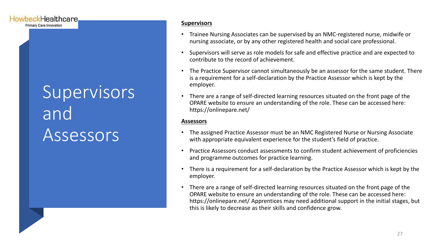# Supervisors and Assessors

HowbeckHealthcare Primary Care Innovation

#### **Supervisors**

- Trainee Nursing Associates can be supervised by an NMC-registered nurse, midwife or nursing associate, or by any other registered health and social care professional.
- Supervisors will serve as role models for safe and effective practice and are expected to contribute to the record of achievement.
- The Practice Supervisor cannot simultaneously be an assessor for the same student. There is a requirement for a self-declaration by the Practice Assessor which is kept by the employer.
- There are a range of self-directed learning resources situated on the front page of the OPARE website to ensure an understanding of the role. These can be accessed here: https://onlinepare.net/

### **Assessors**

- The assigned Practice Assessor must be an NMC Registered Nurse or Nursing Associate with appropriate equivalent experience for the student's field of practice.
- Practice Assessors conduct assessments to confirm student achievement of proficiencies and programme outcomes for practice learning.
- There is a requirement for a self-declaration by the Practice Assessor which is kept by the employer.
- There are a range of self-directed learning resources situated on the front page of the OPARE website to ensure an understanding of the role. These can be accessed here: https://onlinepare.net/ Apprentices may need additional support in the initial stages, but this is likely to decrease as their skills and confidence grow.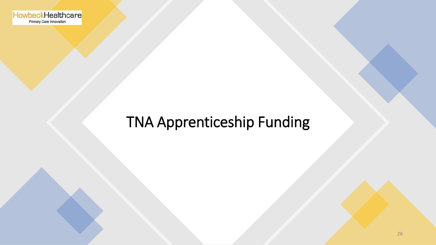HowbeckHealthcare Primary Care Innovation

## TNA Apprenticeship Funding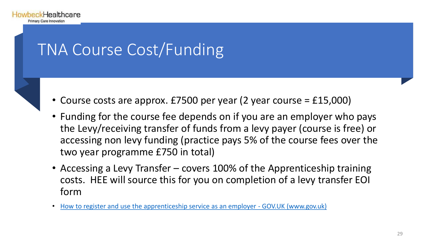

# TNA Course Cost/Funding

- Course costs are approx. £7500 per year (2 year course = £15,000)
- Funding for the course fee depends on if you are an employer who pays the Levy/receiving transfer of funds from a levy payer (course is free) or accessing non levy funding (practice pays 5% of the course fees over the two year programme £750 in total)
- Accessing a Levy Transfer covers 100% of the Apprenticeship training costs. HEE will source this for you on completion of a levy transfer EOI form
- [How to register and use the apprenticeship service as an employer -](https://www.gov.uk/guidance/manage-apprenticeship-funds#how-funding-works-if-you-do-not-pay-the-apprenticeship-levy) GOV.UK (www.gov.uk)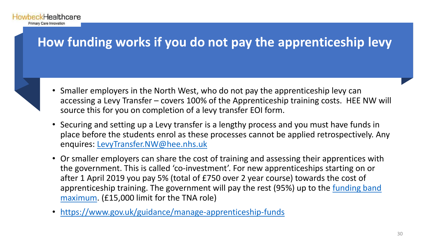## **How funding works if you do not pay the apprenticeship levy**

**HowbeckHealthcare** Primary Care Innovation

- Smaller employers in the North West, who do not pay the apprenticeship levy can accessing a Levy Transfer – covers 100% of the Apprenticeship training costs. HEE NW will source this for you on completion of a levy transfer EOI form.
- Securing and setting up a Levy transfer is a lengthy process and you must have funds in place before the students enrol as these processes cannot be applied retrospectively. Any enquires: [LevyTransfer.NW@hee.nhs.uk](mailto:LevyTransfer.NW@hee.nhs.uk)
- Or smaller employers can share the cost of training and assessing their apprentices with the government. This is called 'co-investment'. For new apprenticeships starting on or after 1 April 2019 you pay 5% (total of £750 over 2 year course) towards the cost of [apprenticeship training. The government will pay the rest \(95%\) up to the](https://www.gov.uk/government/publications/apprenticeship-funding-bands) funding band maximum. (£15,000 limit for the TNA role)
- <https://www.gov.uk/guidance/manage-apprenticeship-funds>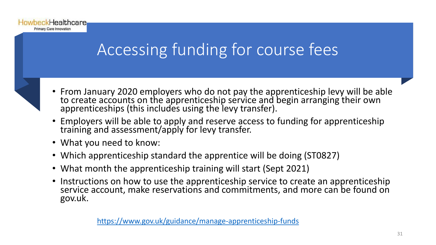

# Accessing funding for course fees



- From January 2020 employers who do not pay the apprenticeship levy will be able to create accounts on the apprenticeship service and begin arranging their own apprenticeships (this includes using the levy transfer).
- Employers will be able to apply and reserve access to funding for apprenticeship training and assessment/apply for levy transfer.
- What you need to know:
- Which apprenticeship standard the apprentice will be doing (ST0827)
- What month the apprenticeship training will start (Sept 2021)
- Instructions on how to use the apprenticeship service to create an apprenticeship service account, make reservations and commitments, and more can be found on gov.uk.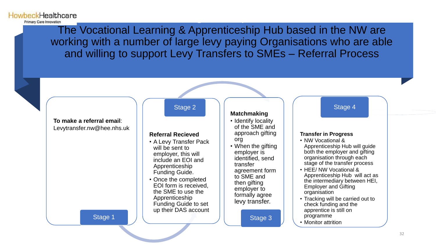The Vocational Learning & Apprenticeship Hub based in the NW are working with a number of large levy paying Organisations who are able and willing to support Levy Transfers to SMEs – Referral Process

Accessing a Levy Transfer

**HowbeckHealthcare** Primary Care Innovation

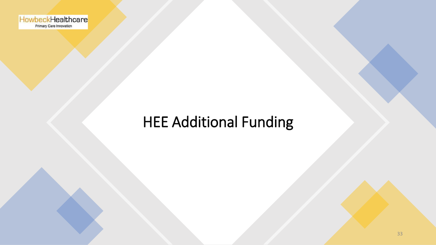HowbeckHealthcare

## HEE Additional Funding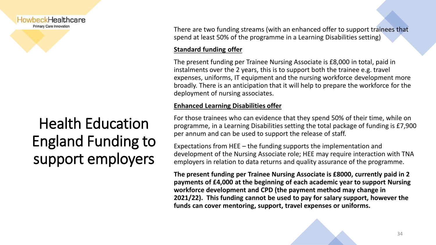

## Health Education England Funding to support employers

There are two funding streams (with an enhanced offer to support trainees that spend at least 50% of the programme in a Learning Disabilities setting)

## **Standard funding offer**

The present funding per Trainee Nursing Associate is £8,000 in total, paid in instalments over the 2 years, this is to support both the trainee e.g. travel expenses, uniforms, IT equipment and the nursing workforce development more broadly. There is an anticipation that it will help to prepare the workforce for the deployment of nursing associates.

### **Enhanced Learning Disabilities offer**

For those trainees who can evidence that they spend 50% of their time, while on programme, in a Learning Disabilities setting the total package of funding is £7,900 per annum and can be used to support the release of staff.

Expectations from HEE – the funding supports the implementation and development of the Nursing Associate role; HEE may require interaction with TNA employers in relation to data returns and quality assurance of the programme.

**The present funding per Trainee Nursing Associate is £8000, currently paid in 2 payments of £4,000 at the beginning of each academic year to support Nursing workforce development and CPD (the payment method may change in 2021/22). This funding cannot be used to pay for salary support, however the funds can cover mentoring, support, travel expenses or uniforms.**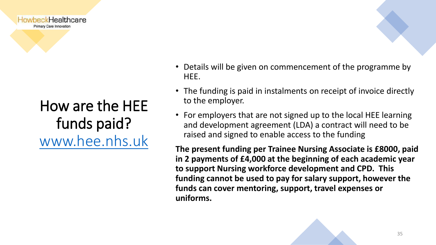

## How are the HEE funds paid? [www.hee.nhs.uk](http://www.hee.nhs.uk/)

- Details will be given on commencement of the programme by HEE.
- The funding is paid in instalments on receipt of invoice directly to the employer.
- For employers that are not signed up to the local HEE learning and development agreement (LDA) a contract will need to be raised and signed to enable access to the funding

**The present funding per Trainee Nursing Associate is £8000, paid in 2 payments of £4,000 at the beginning of each academic year to support Nursing workforce development and CPD. This funding cannot be used to pay for salary support, however the funds can cover mentoring, support, travel expenses or uniforms.**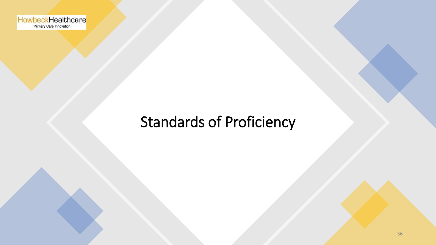

## Standards of Proficiency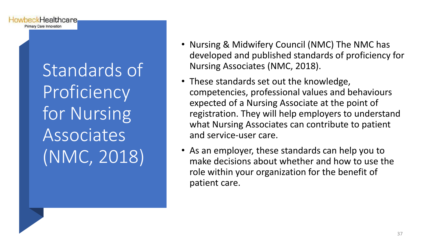Standards of Proficiency for Nursing **Associates** (NMC, 2018)

**HowbeckHealthcare** Primary Care Innovation

- Nursing & Midwifery Council (NMC) The NMC has developed and published standards of proficiency for Nursing Associates (NMC, 2018).
- These standards set out the knowledge, competencies, professional values and behaviours expected of a Nursing Associate at the point of registration. They will help employers to understand what Nursing Associates can contribute to patient and service-user care.
- As an employer, these standards can help you to make decisions about whether and how to use the role within your organization for the benefit of patient care.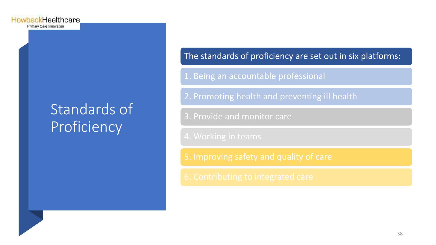## Standards of Proficiency

## The standards of proficiency are set out in six platforms:

1. Being an accountable professional

2. Promoting health and preventing ill health

3. Provide and monitor care

5. Improving safety and quality of care